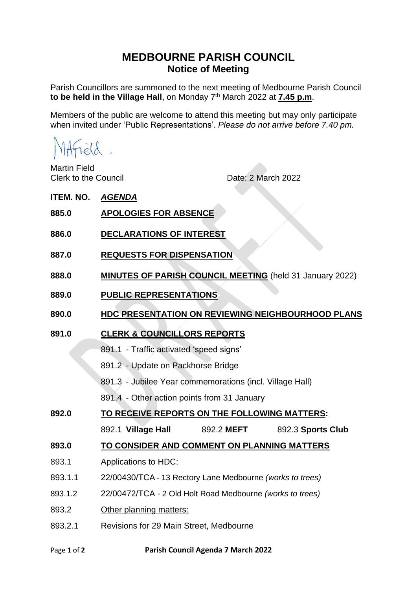## **MEDBOURNE PARISH COUNCIL Notice of Meeting**

Parish Councillors are summoned to the next meeting of Medbourne Parish Council **to be held in the Village Hall**, on Monday 7 th March 2022 at **7.45 p.m**.

Members of the public are welcome to attend this meeting but may only participate when invited under 'Public Representations'. *Please do not arrive before 7.40 pm.*

Martin Field

Clerk to the Council **Date: 2 March 2022** 

**ITEM. NO.** *AGENDA*

- **885.0 APOLOGIES FOR ABSENCE**
- **886.0 DECLARATIONS OF INTEREST**
- **887.0 REQUESTS FOR DISPENSATION**
- **888.0 MINUTES OF PARISH COUNCIL MEETING** (held 31 January 2022)
- **889.0 PUBLIC REPRESENTATIONS**
- **890.0 HDC PRESENTATION ON REVIEWING NEIGHBOURHOOD PLANS**
- **891.0 CLERK & COUNCILLORS REPORTS** 
	- 891.1 Traffic activated 'speed signs'
	- 891.2 Update on Packhorse Bridge
	- 891.3 Jubilee Year commemorations (incl. Village Hall)
	- 891.4 Other action points from 31 January
- **892.0 TO RECEIVE REPORTS ON THE FOLLOWING MATTERS:**
	- 892.1 **Village Hall** 892.2 **MEFT** 892.3 **Sports Club**
- **893.0 TO CONSIDER AND COMMENT ON PLANNING MATTERS**
- 893.1 Applications to HDC:
- 893.1.1 22/00430/TCA 13 Rectory Lane Medbourne *(works to trees)*
- 893.1.2 22/00472/TCA 2 Old Holt Road Medbourne *(works to trees)*
- 893.2 Other planning matters:
- 893.2.1 Revisions for 29 Main Street, Medbourne
- Page **1** of **2 Parish Council Agenda 7 March 2022**